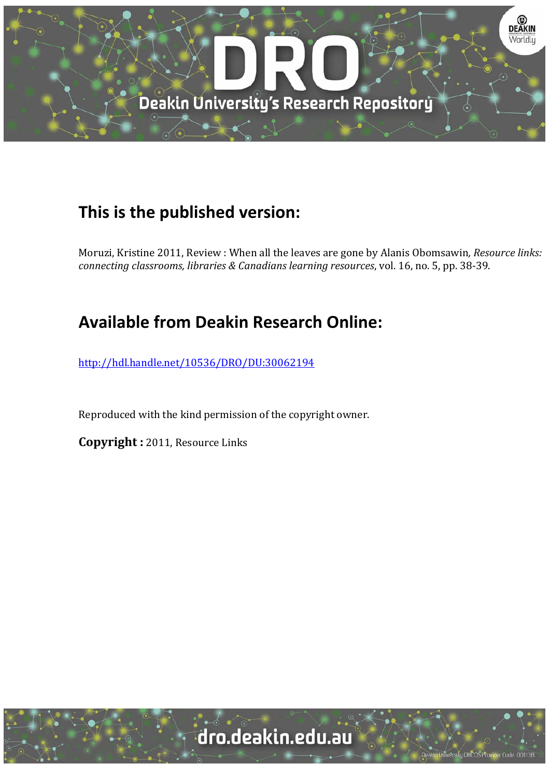

## **This is the published version:**

Moruzi, Kristine 2011, Review : When all the leaves are gone by Alanis Obomsawin, *Resource links: connecting classrooms, libraries & Canadians learning resources*, vol. 16, no. 5, pp. 38‐39. 

## **Available from Deakin Research Online:**

http://hdl.handle.net/10536/DRO/DU:30062194

Reproduced with the kind permission of the copyright owner.

**Copyright**: 2011, Resource Links